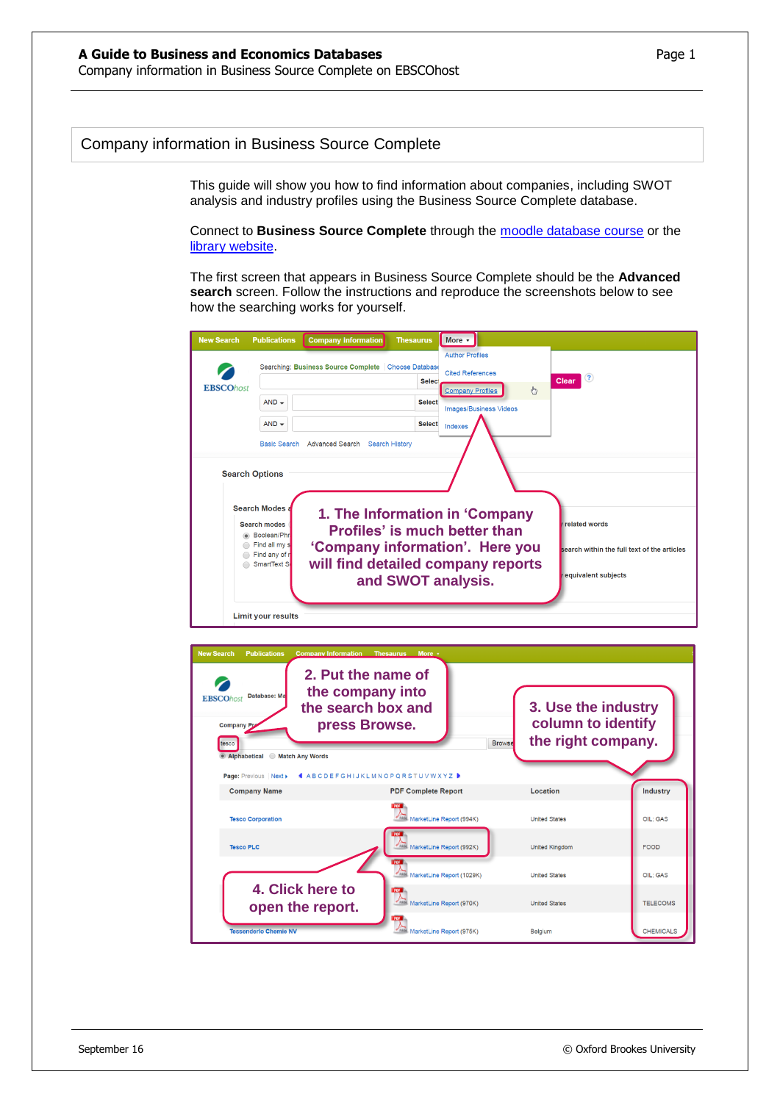## Company information in Business Source Complete

This guide will show you how to find information about companies, including SWOT analysis and industry profiles using the Business Source Complete database.

Connect to **Business Source Complete** through the [moodle database course](https://moodle.brookes.ac.uk/course/view.php?id=19192) or the [library website.](http://www.brookes.ac.uk/Library/Subject-help/Business--Marketing-and-Economics/)

The first screen that appears in Business Source Complete should be the **Advanced search** screen. Follow the instructions and reproduce the screenshots below to see how the searching works for yourself.

| <b>New Search</b>                                                                                                                                                                                                                                                                                                                                                          | <b>Publications</b>                       | <b>Company Information</b>                                                            | <b>Thesaurus</b>                                | More v                                                                                                            |                                                                 |                  |
|----------------------------------------------------------------------------------------------------------------------------------------------------------------------------------------------------------------------------------------------------------------------------------------------------------------------------------------------------------------------------|-------------------------------------------|---------------------------------------------------------------------------------------|-------------------------------------------------|-------------------------------------------------------------------------------------------------------------------|-----------------------------------------------------------------|------------------|
| <b>EBSCOhost</b>                                                                                                                                                                                                                                                                                                                                                           | $AND -$<br>$AND -$<br><b>Basic Search</b> | Searching: Business Source Complete Choose Database<br>Advanced Search Search History | <b>Select</b><br><b>Select</b><br><b>Select</b> | <b>Author Profiles</b><br><b>Cited References</b><br><b>Company Profiles</b><br>Images/Business Videos<br>Indexes | Clear<br>$\sqrt[3]{n}$                                          |                  |
| <b>Search Options</b>                                                                                                                                                                                                                                                                                                                                                      |                                           |                                                                                       |                                                 |                                                                                                                   |                                                                 |                  |
| <b>Search Modes a</b><br>1. The Information in 'Company<br>related words<br><b>Search modes</b><br>Profiles' is much better than<br>Boolean/Phr<br>Find all my s<br>'Company information'. Here you<br>search within the full text of the articles<br>Find any of r<br>∩<br>will find detailed company reports<br>SmartText S<br>equivalent subjects<br>and SWOT analysis. |                                           |                                                                                       |                                                 |                                                                                                                   |                                                                 |                  |
| <b>Limit your results</b>                                                                                                                                                                                                                                                                                                                                                  |                                           |                                                                                       |                                                 |                                                                                                                   |                                                                 |                  |
|                                                                                                                                                                                                                                                                                                                                                                            |                                           |                                                                                       |                                                 |                                                                                                                   |                                                                 |                  |
| <b>New Search</b><br><b>Publications</b><br><b>Company Information</b><br><b>Thesaurus</b><br>More ·                                                                                                                                                                                                                                                                       |                                           |                                                                                       |                                                 |                                                                                                                   |                                                                 |                  |
| 2. Put the name of<br>the company into<br>Database: Ma<br><b>EBSCOhost</b><br>the search box and<br>press Browse.<br><b>Company Pr</b><br>tesco<br>Alphabetical Match Any Words                                                                                                                                                                                            |                                           |                                                                                       |                                                 | <b>Browse</b>                                                                                                     | 3. Use the industry<br>column to identify<br>the right company. |                  |
| Page: Previous Next ><br>ABCDEFGHIJKLMNOPQRSTUVWXYZ D                                                                                                                                                                                                                                                                                                                      |                                           |                                                                                       |                                                 |                                                                                                                   |                                                                 |                  |
|                                                                                                                                                                                                                                                                                                                                                                            | <b>Company Name</b>                       |                                                                                       | <b>PDF Complete Report</b>                      |                                                                                                                   | <b>Location</b>                                                 | <b>Industry</b>  |
|                                                                                                                                                                                                                                                                                                                                                                            | <b>Tesco Corporation</b>                  |                                                                                       |                                                 | MarketLine Report (994K)                                                                                          | <b>United States</b>                                            | OIL; GAS         |
| <b>Tesco PLC</b>                                                                                                                                                                                                                                                                                                                                                           |                                           |                                                                                       |                                                 | MarketLine Report (992K)                                                                                          | <b>United Kingdom</b>                                           | FOOD             |
| MarketLine Report (1029K)                                                                                                                                                                                                                                                                                                                                                  |                                           |                                                                                       |                                                 |                                                                                                                   | <b>United States</b>                                            | OIL: GAS         |
| 4. Click here to<br>MarketLine Report (970K)<br>open the report.                                                                                                                                                                                                                                                                                                           |                                           |                                                                                       |                                                 |                                                                                                                   | <b>United States</b>                                            | <b>TELECOMS</b>  |
| <b>Tessenderlo Chemie NV</b>                                                                                                                                                                                                                                                                                                                                               |                                           |                                                                                       |                                                 | MarketLine Report (975K)                                                                                          | Belgium                                                         | <b>CHEMICALS</b> |